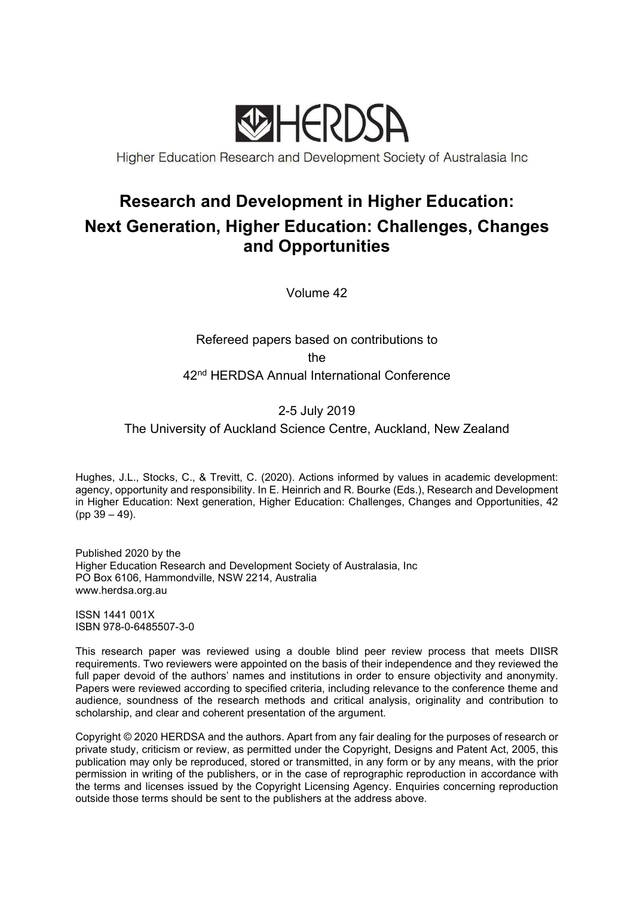

Higher Education Research and Development Society of Australasia Inc

# Research and Development in Higher Education: Next Generation, Higher Education: Challenges, Changes and Opportunities

Volume 42

Refereed papers based on contributions to the 42<sup>nd</sup> HERDSA Annual International Conference

## 2-5 July 2019

The University of Auckland Science Centre, Auckland, New Zealand

Hughes, J.L., Stocks, C., & Trevitt, C. (2020). Actions informed by values in academic development: agency, opportunity and responsibility. In E. Heinrich and R. Bourke (Eds.), Research and Development in Higher Education: Next generation, Higher Education: Challenges, Changes and Opportunities, 42 (pp 39 – 49).

Published 2020 by the Higher Education Research and Development Society of Australasia, Inc PO Box 6106, Hammondville, NSW 2214, Australia www.herdsa.org.au

ISSN 1441 001X ISBN 978-0-6485507-3-0

This research paper was reviewed using a double blind peer review process that meets DIISR requirements. Two reviewers were appointed on the basis of their independence and they reviewed the full paper devoid of the authors' names and institutions in order to ensure objectivity and anonymity. Papers were reviewed according to specified criteria, including relevance to the conference theme and audience, soundness of the research methods and critical analysis, originality and contribution to scholarship, and clear and coherent presentation of the argument.

Copyright © 2020 HERDSA and the authors. Apart from any fair dealing for the purposes of research or private study, criticism or review, as permitted under the Copyright, Designs and Patent Act, 2005, this publication may only be reproduced, stored or transmitted, in any form or by any means, with the prior permission in writing of the publishers, or in the case of reprographic reproduction in accordance with the terms and licenses issued by the Copyright Licensing Agency. Enquiries concerning reproduction outside those terms should be sent to the publishers at the address above.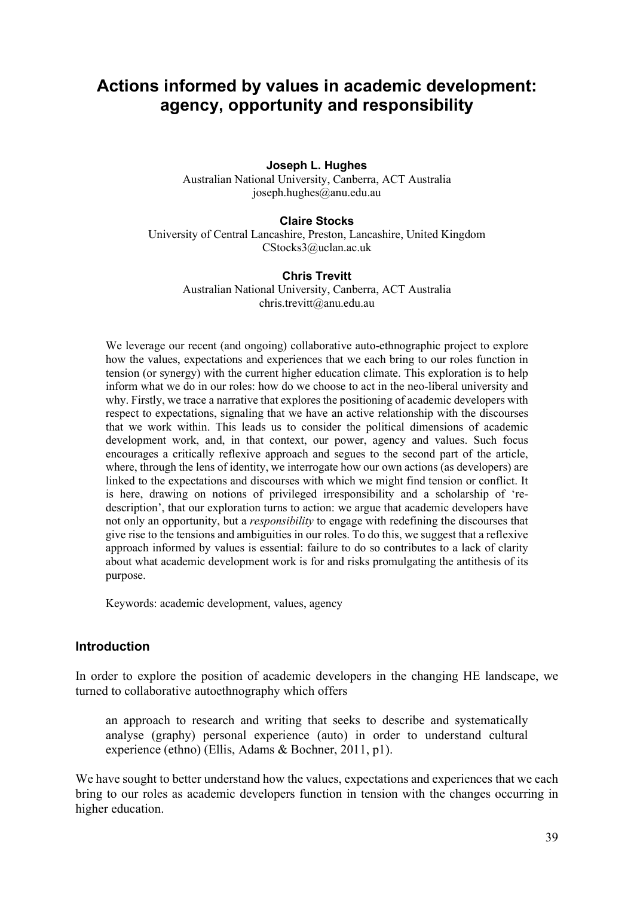## Actions informed by values in academic development: agency, opportunity and responsibility

#### Joseph L. Hughes

Australian National University, Canberra, ACT Australia joseph.hughes@anu.edu.au

#### Claire Stocks

University of Central Lancashire, Preston, Lancashire, United Kingdom CStocks3@uclan.ac.uk

#### Chris Trevitt

Australian National University, Canberra, ACT Australia chris.trevitt@anu.edu.au

We leverage our recent (and ongoing) collaborative auto-ethnographic project to explore how the values, expectations and experiences that we each bring to our roles function in tension (or synergy) with the current higher education climate. This exploration is to help inform what we do in our roles: how do we choose to act in the neo-liberal university and why. Firstly, we trace a narrative that explores the positioning of academic developers with respect to expectations, signaling that we have an active relationship with the discourses that we work within. This leads us to consider the political dimensions of academic development work, and, in that context, our power, agency and values. Such focus encourages a critically reflexive approach and segues to the second part of the article, where, through the lens of identity, we interrogate how our own actions (as developers) are linked to the expectations and discourses with which we might find tension or conflict. It is here, drawing on notions of privileged irresponsibility and a scholarship of 'redescription', that our exploration turns to action: we argue that academic developers have not only an opportunity, but a responsibility to engage with redefining the discourses that give rise to the tensions and ambiguities in our roles. To do this, we suggest that a reflexive approach informed by values is essential: failure to do so contributes to a lack of clarity about what academic development work is for and risks promulgating the antithesis of its purpose.

Keywords: academic development, values, agency

#### Introduction

In order to explore the position of academic developers in the changing HE landscape, we turned to collaborative autoethnography which offers

an approach to research and writing that seeks to describe and systematically analyse (graphy) personal experience (auto) in order to understand cultural experience (ethno) (Ellis, Adams & Bochner, 2011, p1).

We have sought to better understand how the values, expectations and experiences that we each bring to our roles as academic developers function in tension with the changes occurring in higher education.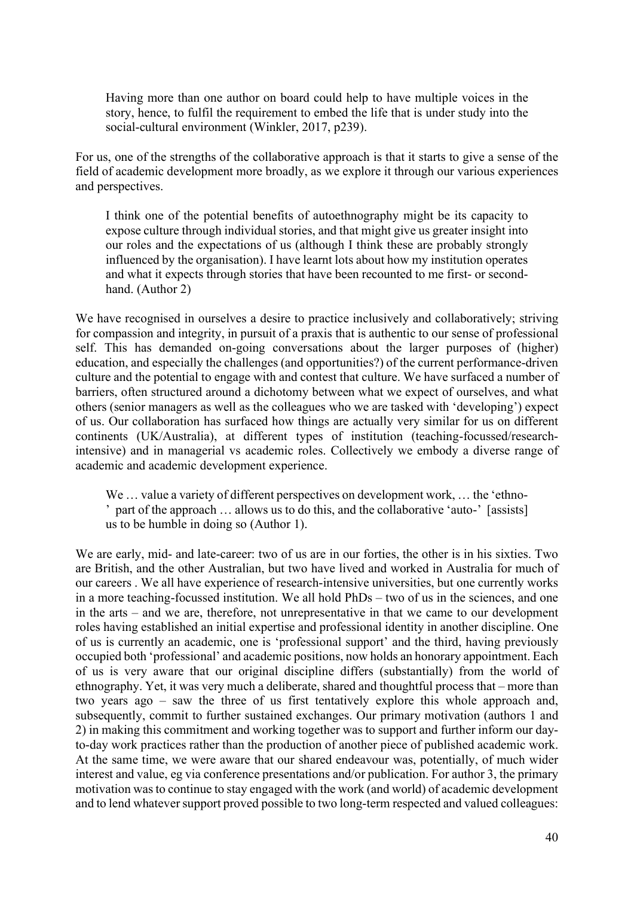Having more than one author on board could help to have multiple voices in the story, hence, to fulfil the requirement to embed the life that is under study into the social-cultural environment (Winkler, 2017, p239).

For us, one of the strengths of the collaborative approach is that it starts to give a sense of the field of academic development more broadly, as we explore it through our various experiences and perspectives.

I think one of the potential benefits of autoethnography might be its capacity to expose culture through individual stories, and that might give us greater insight into our roles and the expectations of us (although I think these are probably strongly influenced by the organisation). I have learnt lots about how my institution operates and what it expects through stories that have been recounted to me first- or secondhand. (Author 2)

We have recognised in ourselves a desire to practice inclusively and collaboratively; striving for compassion and integrity, in pursuit of a praxis that is authentic to our sense of professional self. This has demanded on-going conversations about the larger purposes of (higher) education, and especially the challenges (and opportunities?) of the current performance-driven culture and the potential to engage with and contest that culture. We have surfaced a number of barriers, often structured around a dichotomy between what we expect of ourselves, and what others (senior managers as well as the colleagues who we are tasked with 'developing') expect of us. Our collaboration has surfaced how things are actually very similar for us on different continents (UK/Australia), at different types of institution (teaching-focussed/researchintensive) and in managerial vs academic roles. Collectively we embody a diverse range of academic and academic development experience.

We ... value a variety of different perspectives on development work, ... the 'ethno-' part of the approach … allows us to do this, and the collaborative 'auto-' [assists] us to be humble in doing so (Author 1).

We are early, mid- and late-career: two of us are in our forties, the other is in his sixties. Two are British, and the other Australian, but two have lived and worked in Australia for much of our careers . We all have experience of research-intensive universities, but one currently works in a more teaching-focussed institution. We all hold PhDs – two of us in the sciences, and one in the arts – and we are, therefore, not unrepresentative in that we came to our development roles having established an initial expertise and professional identity in another discipline. One of us is currently an academic, one is 'professional support' and the third, having previously occupied both 'professional' and academic positions, now holds an honorary appointment. Each of us is very aware that our original discipline differs (substantially) from the world of ethnography. Yet, it was very much a deliberate, shared and thoughtful process that – more than two years ago – saw the three of us first tentatively explore this whole approach and, subsequently, commit to further sustained exchanges. Our primary motivation (authors 1 and 2) in making this commitment and working together was to support and further inform our dayto-day work practices rather than the production of another piece of published academic work. At the same time, we were aware that our shared endeavour was, potentially, of much wider interest and value, eg via conference presentations and/or publication. For author 3, the primary motivation was to continue to stay engaged with the work (and world) of academic development and to lend whatever support proved possible to two long-term respected and valued colleagues: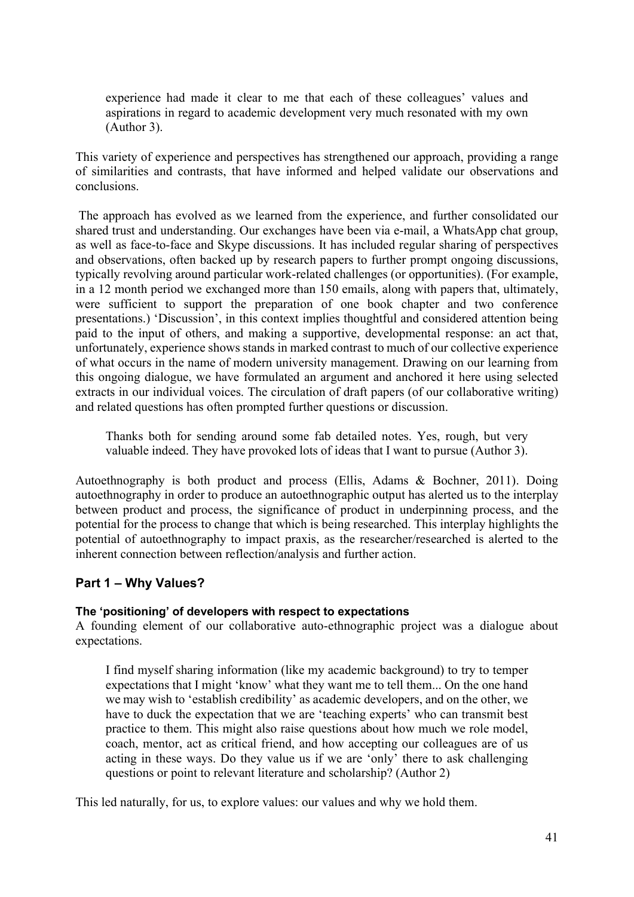experience had made it clear to me that each of these colleagues' values and aspirations in regard to academic development very much resonated with my own (Author 3).

This variety of experience and perspectives has strengthened our approach, providing a range of similarities and contrasts, that have informed and helped validate our observations and conclusions.

 The approach has evolved as we learned from the experience, and further consolidated our shared trust and understanding. Our exchanges have been via e-mail, a WhatsApp chat group, as well as face-to-face and Skype discussions. It has included regular sharing of perspectives and observations, often backed up by research papers to further prompt ongoing discussions, typically revolving around particular work-related challenges (or opportunities). (For example, in a 12 month period we exchanged more than 150 emails, along with papers that, ultimately, were sufficient to support the preparation of one book chapter and two conference presentations.) 'Discussion', in this context implies thoughtful and considered attention being paid to the input of others, and making a supportive, developmental response: an act that, unfortunately, experience shows stands in marked contrast to much of our collective experience of what occurs in the name of modern university management. Drawing on our learning from this ongoing dialogue, we have formulated an argument and anchored it here using selected extracts in our individual voices. The circulation of draft papers (of our collaborative writing) and related questions has often prompted further questions or discussion.

Thanks both for sending around some fab detailed notes. Yes, rough, but very valuable indeed. They have provoked lots of ideas that I want to pursue (Author 3).

Autoethnography is both product and process (Ellis, Adams & Bochner, 2011). Doing autoethnography in order to produce an autoethnographic output has alerted us to the interplay between product and process, the significance of product in underpinning process, and the potential for the process to change that which is being researched. This interplay highlights the potential of autoethnography to impact praxis, as the researcher/researched is alerted to the inherent connection between reflection/analysis and further action.

## Part 1 – Why Values?

#### The 'positioning' of developers with respect to expectations

A founding element of our collaborative auto-ethnographic project was a dialogue about expectations.

I find myself sharing information (like my academic background) to try to temper expectations that I might 'know' what they want me to tell them... On the one hand we may wish to 'establish credibility' as academic developers, and on the other, we have to duck the expectation that we are 'teaching experts' who can transmit best practice to them. This might also raise questions about how much we role model, coach, mentor, act as critical friend, and how accepting our colleagues are of us acting in these ways. Do they value us if we are 'only' there to ask challenging questions or point to relevant literature and scholarship? (Author 2)

This led naturally, for us, to explore values: our values and why we hold them.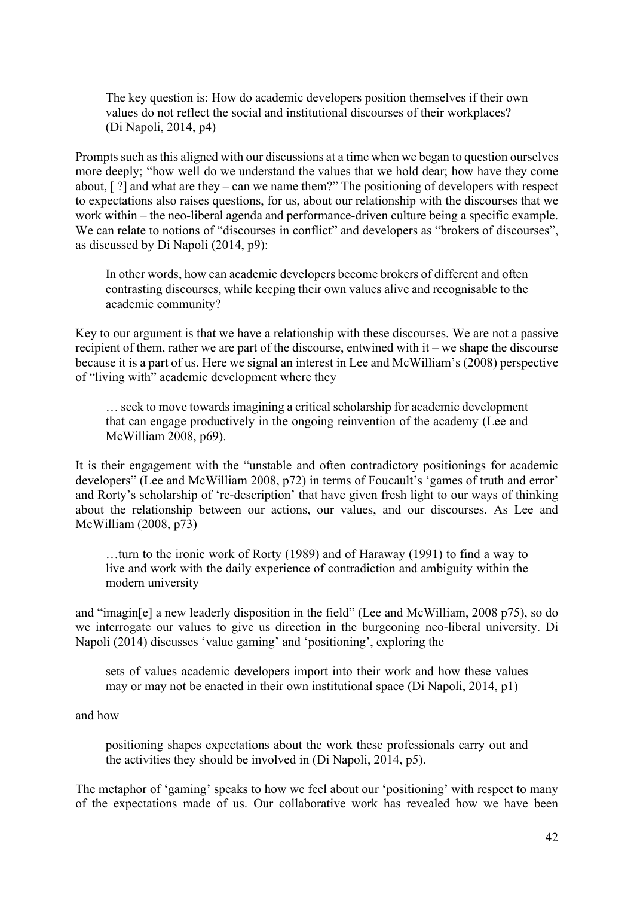The key question is: How do academic developers position themselves if their own values do not reflect the social and institutional discourses of their workplaces? (Di Napoli, 2014, p4)

Prompts such as this aligned with our discussions at a time when we began to question ourselves more deeply; "how well do we understand the values that we hold dear; how have they come about, [ ?] and what are they – can we name them?" The positioning of developers with respect to expectations also raises questions, for us, about our relationship with the discourses that we work within – the neo-liberal agenda and performance-driven culture being a specific example. We can relate to notions of "discourses in conflict" and developers as "brokers of discourses", as discussed by Di Napoli (2014, p9):

In other words, how can academic developers become brokers of different and often contrasting discourses, while keeping their own values alive and recognisable to the academic community?

Key to our argument is that we have a relationship with these discourses. We are not a passive recipient of them, rather we are part of the discourse, entwined with it – we shape the discourse because it is a part of us. Here we signal an interest in Lee and McWilliam's (2008) perspective of "living with" academic development where they

… seek to move towards imagining a critical scholarship for academic development that can engage productively in the ongoing reinvention of the academy (Lee and McWilliam 2008, p69).

It is their engagement with the "unstable and often contradictory positionings for academic developers" (Lee and McWilliam 2008, p72) in terms of Foucault's 'games of truth and error' and Rorty's scholarship of 're-description' that have given fresh light to our ways of thinking about the relationship between our actions, our values, and our discourses. As Lee and McWilliam (2008, p73)

…turn to the ironic work of Rorty (1989) and of Haraway (1991) to find a way to live and work with the daily experience of contradiction and ambiguity within the modern university

and "imagin[e] a new leaderly disposition in the field" (Lee and McWilliam, 2008 p75), so do we interrogate our values to give us direction in the burgeoning neo-liberal university. Di Napoli (2014) discusses 'value gaming' and 'positioning', exploring the

sets of values academic developers import into their work and how these values may or may not be enacted in their own institutional space (Di Napoli, 2014, p1)

and how

positioning shapes expectations about the work these professionals carry out and the activities they should be involved in (Di Napoli, 2014, p5).

The metaphor of 'gaming' speaks to how we feel about our 'positioning' with respect to many of the expectations made of us. Our collaborative work has revealed how we have been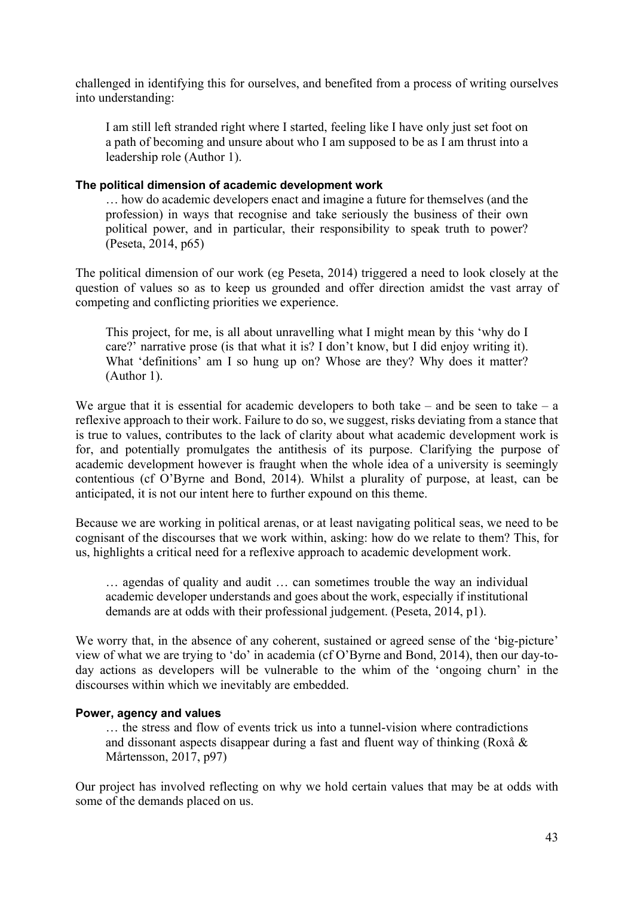challenged in identifying this for ourselves, and benefited from a process of writing ourselves into understanding:

I am still left stranded right where I started, feeling like I have only just set foot on a path of becoming and unsure about who I am supposed to be as I am thrust into a leadership role (Author 1).

#### The political dimension of academic development work

… how do academic developers enact and imagine a future for themselves (and the profession) in ways that recognise and take seriously the business of their own political power, and in particular, their responsibility to speak truth to power? (Peseta, 2014, p65)

The political dimension of our work (eg Peseta, 2014) triggered a need to look closely at the question of values so as to keep us grounded and offer direction amidst the vast array of competing and conflicting priorities we experience.

This project, for me, is all about unravelling what I might mean by this 'why do I care?' narrative prose (is that what it is? I don't know, but I did enjoy writing it). What 'definitions' am I so hung up on? Whose are they? Why does it matter? (Author 1).

We argue that it is essential for academic developers to both take – and be seen to take – a reflexive approach to their work. Failure to do so, we suggest, risks deviating from a stance that is true to values, contributes to the lack of clarity about what academic development work is for, and potentially promulgates the antithesis of its purpose. Clarifying the purpose of academic development however is fraught when the whole idea of a university is seemingly contentious (cf O'Byrne and Bond, 2014). Whilst a plurality of purpose, at least, can be anticipated, it is not our intent here to further expound on this theme.

Because we are working in political arenas, or at least navigating political seas, we need to be cognisant of the discourses that we work within, asking: how do we relate to them? This, for us, highlights a critical need for a reflexive approach to academic development work.

… agendas of quality and audit … can sometimes trouble the way an individual academic developer understands and goes about the work, especially if institutional demands are at odds with their professional judgement. (Peseta, 2014, p1).

We worry that, in the absence of any coherent, sustained or agreed sense of the 'big-picture' view of what we are trying to 'do' in academia (cf O'Byrne and Bond, 2014), then our day-today actions as developers will be vulnerable to the whim of the 'ongoing churn' in the discourses within which we inevitably are embedded.

#### Power, agency and values

… the stress and flow of events trick us into a tunnel-vision where contradictions and dissonant aspects disappear during a fast and fluent way of thinking (Roxå & Mårtensson, 2017, p97)

Our project has involved reflecting on why we hold certain values that may be at odds with some of the demands placed on us.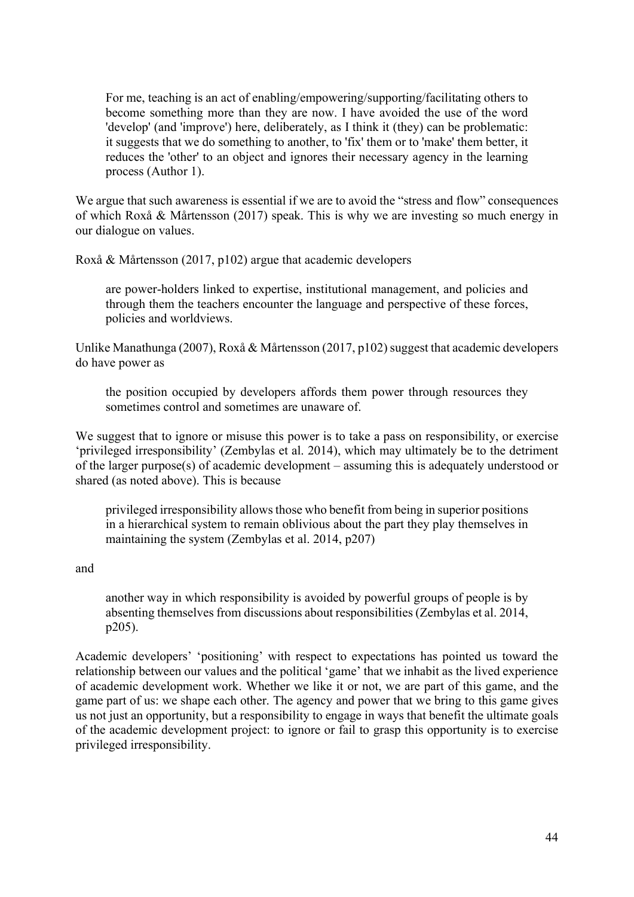For me, teaching is an act of enabling/empowering/supporting/facilitating others to become something more than they are now. I have avoided the use of the word 'develop' (and 'improve') here, deliberately, as I think it (they) can be problematic: it suggests that we do something to another, to 'fix' them or to 'make' them better, it reduces the 'other' to an object and ignores their necessary agency in the learning process (Author 1).

We argue that such awareness is essential if we are to avoid the "stress and flow" consequences of which Roxå & Mårtensson (2017) speak. This is why we are investing so much energy in our dialogue on values.

Roxå & Mårtensson (2017, p102) argue that academic developers

are power-holders linked to expertise, institutional management, and policies and through them the teachers encounter the language and perspective of these forces, policies and worldviews.

Unlike Manathunga (2007), Roxå & Mårtensson (2017, p102) suggest that academic developers do have power as

the position occupied by developers affords them power through resources they sometimes control and sometimes are unaware of.

We suggest that to ignore or misuse this power is to take a pass on responsibility, or exercise 'privileged irresponsibility' (Zembylas et al. 2014), which may ultimately be to the detriment of the larger purpose(s) of academic development – assuming this is adequately understood or shared (as noted above). This is because

privileged irresponsibility allows those who benefit from being in superior positions in a hierarchical system to remain oblivious about the part they play themselves in maintaining the system (Zembylas et al. 2014, p207)

and

another way in which responsibility is avoided by powerful groups of people is by absenting themselves from discussions about responsibilities (Zembylas et al. 2014, p205).

Academic developers' 'positioning' with respect to expectations has pointed us toward the relationship between our values and the political 'game' that we inhabit as the lived experience of academic development work. Whether we like it or not, we are part of this game, and the game part of us: we shape each other. The agency and power that we bring to this game gives us not just an opportunity, but a responsibility to engage in ways that benefit the ultimate goals of the academic development project: to ignore or fail to grasp this opportunity is to exercise privileged irresponsibility.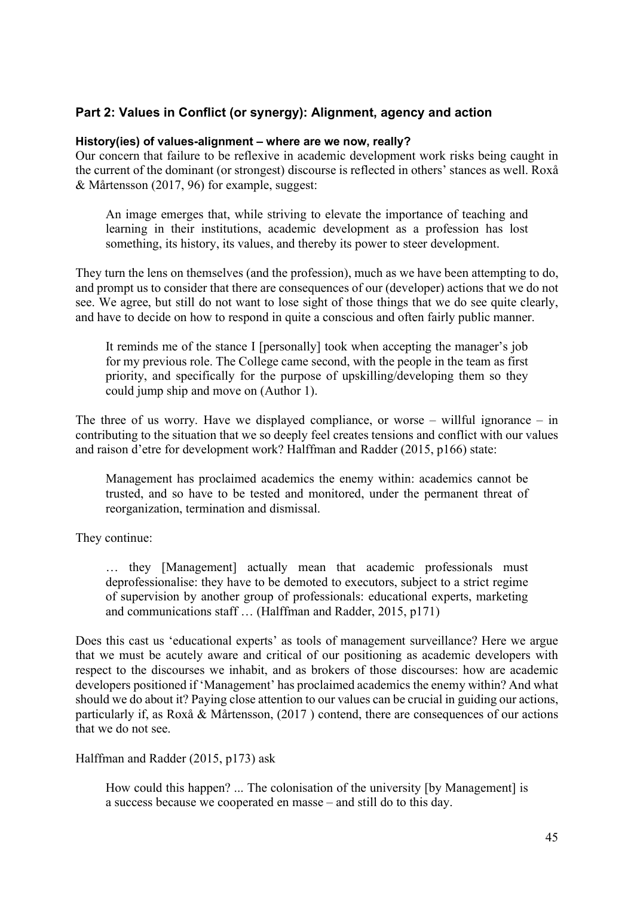### Part 2: Values in Conflict (or synergy): Alignment, agency and action

#### History(ies) of values-alignment – where are we now, really?

Our concern that failure to be reflexive in academic development work risks being caught in the current of the dominant (or strongest) discourse is reflected in others' stances as well. Roxå & Mårtensson (2017, 96) for example, suggest:

An image emerges that, while striving to elevate the importance of teaching and learning in their institutions, academic development as a profession has lost something, its history, its values, and thereby its power to steer development.

They turn the lens on themselves (and the profession), much as we have been attempting to do, and prompt us to consider that there are consequences of our (developer) actions that we do not see. We agree, but still do not want to lose sight of those things that we do see quite clearly, and have to decide on how to respond in quite a conscious and often fairly public manner.

It reminds me of the stance I [personally] took when accepting the manager's job for my previous role. The College came second, with the people in the team as first priority, and specifically for the purpose of upskilling/developing them so they could jump ship and move on (Author 1).

The three of us worry. Have we displayed compliance, or worse – willful ignorance – in contributing to the situation that we so deeply feel creates tensions and conflict with our values and raison d'etre for development work? Halffman and Radder (2015, p166) state:

Management has proclaimed academics the enemy within: academics cannot be trusted, and so have to be tested and monitored, under the permanent threat of reorganization, termination and dismissal.

They continue:

… they [Management] actually mean that academic professionals must deprofessionalise: they have to be demoted to executors, subject to a strict regime of supervision by another group of professionals: educational experts, marketing and communications staff … (Halffman and Radder, 2015, p171)

Does this cast us 'educational experts' as tools of management surveillance? Here we argue that we must be acutely aware and critical of our positioning as academic developers with respect to the discourses we inhabit, and as brokers of those discourses: how are academic developers positioned if 'Management' has proclaimed academics the enemy within? And what should we do about it? Paying close attention to our values can be crucial in guiding our actions, particularly if, as Roxå & Mårtensson, (2017 ) contend, there are consequences of our actions that we do not see.

Halffman and Radder (2015, p173) ask

How could this happen? ... The colonisation of the university [by Management] is a success because we cooperated en masse – and still do to this day.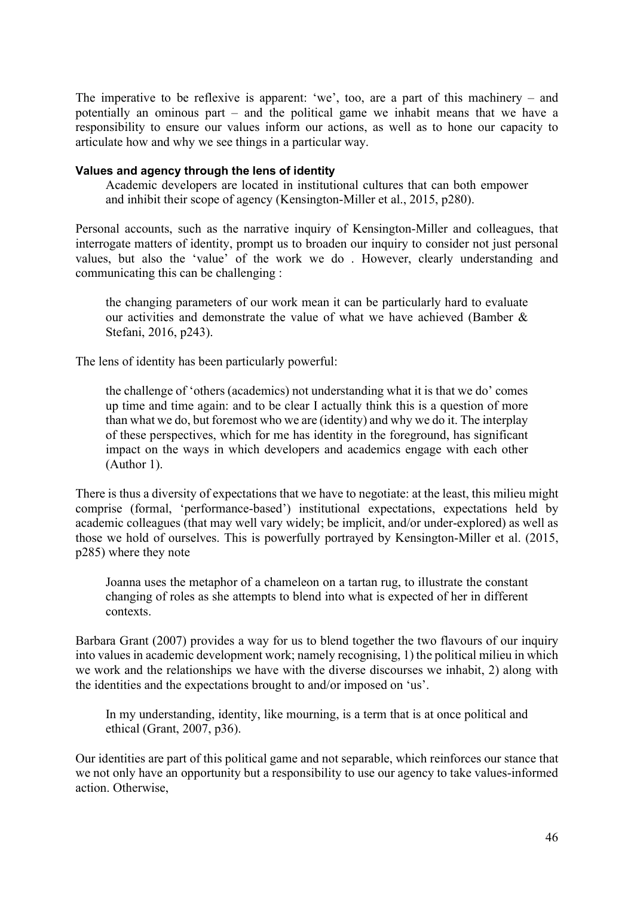The imperative to be reflexive is apparent: 'we', too, are a part of this machinery – and potentially an ominous part – and the political game we inhabit means that we have a responsibility to ensure our values inform our actions, as well as to hone our capacity to articulate how and why we see things in a particular way.

#### Values and agency through the lens of identity

Academic developers are located in institutional cultures that can both empower and inhibit their scope of agency (Kensington-Miller et al., 2015, p280).

Personal accounts, such as the narrative inquiry of Kensington-Miller and colleagues, that interrogate matters of identity, prompt us to broaden our inquiry to consider not just personal values, but also the 'value' of the work we do . However, clearly understanding and communicating this can be challenging :

the changing parameters of our work mean it can be particularly hard to evaluate our activities and demonstrate the value of what we have achieved (Bamber & Stefani, 2016, p243).

The lens of identity has been particularly powerful:

the challenge of 'others (academics) not understanding what it is that we do' comes up time and time again: and to be clear I actually think this is a question of more than what we do, but foremost who we are (identity) and why we do it. The interplay of these perspectives, which for me has identity in the foreground, has significant impact on the ways in which developers and academics engage with each other (Author 1).

There is thus a diversity of expectations that we have to negotiate: at the least, this milieu might comprise (formal, 'performance-based') institutional expectations, expectations held by academic colleagues (that may well vary widely; be implicit, and/or under-explored) as well as those we hold of ourselves. This is powerfully portrayed by Kensington-Miller et al. (2015, p285) where they note

Joanna uses the metaphor of a chameleon on a tartan rug, to illustrate the constant changing of roles as she attempts to blend into what is expected of her in different contexts.

Barbara Grant (2007) provides a way for us to blend together the two flavours of our inquiry into values in academic development work; namely recognising, 1) the political milieu in which we work and the relationships we have with the diverse discourses we inhabit, 2) along with the identities and the expectations brought to and/or imposed on 'us'.

In my understanding, identity, like mourning, is a term that is at once political and ethical (Grant, 2007, p36).

Our identities are part of this political game and not separable, which reinforces our stance that we not only have an opportunity but a responsibility to use our agency to take values-informed action. Otherwise,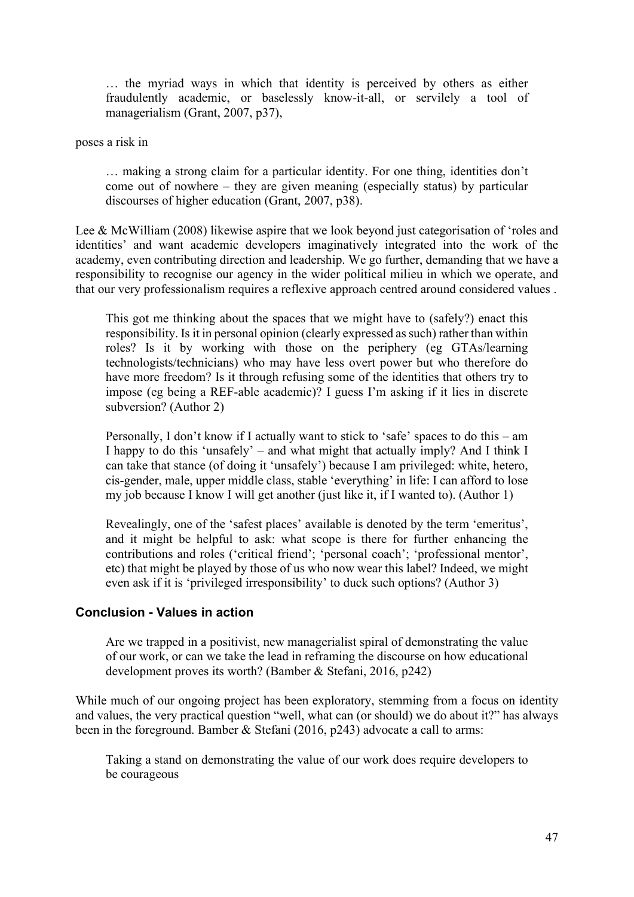… the myriad ways in which that identity is perceived by others as either fraudulently academic, or baselessly know-it-all, or servilely a tool of managerialism (Grant, 2007, p37),

poses a risk in

… making a strong claim for a particular identity. For one thing, identities don't come out of nowhere – they are given meaning (especially status) by particular discourses of higher education (Grant, 2007, p38).

Lee & McWilliam (2008) likewise aspire that we look beyond just categorisation of 'roles and identities' and want academic developers imaginatively integrated into the work of the academy, even contributing direction and leadership. We go further, demanding that we have a responsibility to recognise our agency in the wider political milieu in which we operate, and that our very professionalism requires a reflexive approach centred around considered values .

This got me thinking about the spaces that we might have to (safely?) enact this responsibility. Is it in personal opinion (clearly expressed as such) rather than within roles? Is it by working with those on the periphery (eg GTAs/learning technologists/technicians) who may have less overt power but who therefore do have more freedom? Is it through refusing some of the identities that others try to impose (eg being a REF-able academic)? I guess I'm asking if it lies in discrete subversion? (Author 2)

Personally, I don't know if I actually want to stick to 'safe' spaces to do this – am I happy to do this 'unsafely' – and what might that actually imply? And I think I can take that stance (of doing it 'unsafely') because I am privileged: white, hetero, cis-gender, male, upper middle class, stable 'everything' in life: I can afford to lose my job because I know I will get another (just like it, if I wanted to). (Author 1)

Revealingly, one of the 'safest places' available is denoted by the term 'emeritus', and it might be helpful to ask: what scope is there for further enhancing the contributions and roles ('critical friend'; 'personal coach'; 'professional mentor', etc) that might be played by those of us who now wear this label? Indeed, we might even ask if it is 'privileged irresponsibility' to duck such options? (Author 3)

#### Conclusion - Values in action

Are we trapped in a positivist, new managerialist spiral of demonstrating the value of our work, or can we take the lead in reframing the discourse on how educational development proves its worth? (Bamber & Stefani, 2016, p242)

While much of our ongoing project has been exploratory, stemming from a focus on identity and values, the very practical question "well, what can (or should) we do about it?" has always been in the foreground. Bamber & Stefani (2016, p243) advocate a call to arms:

Taking a stand on demonstrating the value of our work does require developers to be courageous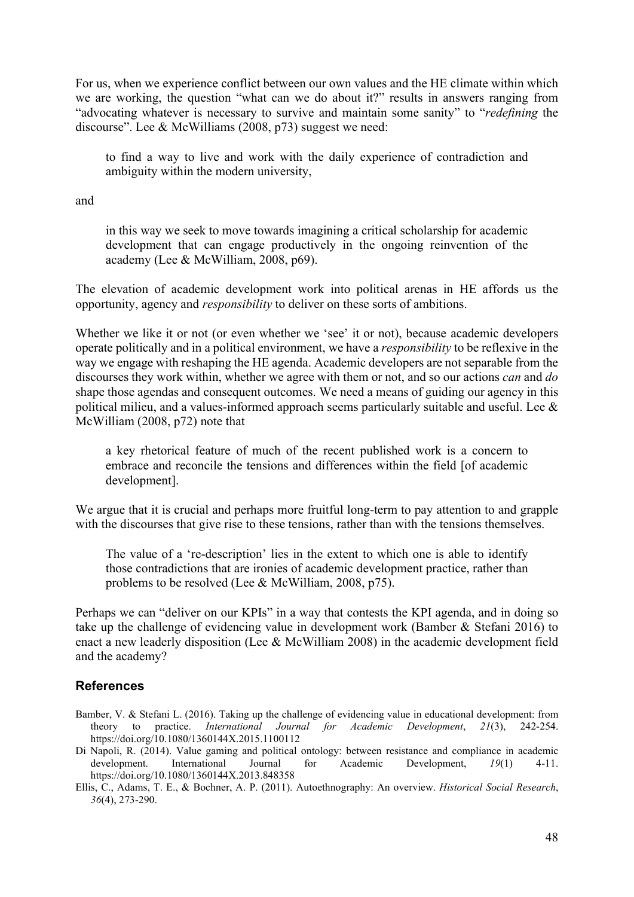For us, when we experience conflict between our own values and the HE climate within which we are working, the question "what can we do about it?" results in answers ranging from "advocating whatever is necessary to survive and maintain some sanity" to "redefining the discourse". Lee & McWilliams (2008, p73) suggest we need:

to find a way to live and work with the daily experience of contradiction and ambiguity within the modern university,

and

in this way we seek to move towards imagining a critical scholarship for academic development that can engage productively in the ongoing reinvention of the academy (Lee & McWilliam, 2008, p69).

The elevation of academic development work into political arenas in HE affords us the opportunity, agency and responsibility to deliver on these sorts of ambitions.

Whether we like it or not (or even whether we 'see' it or not), because academic developers operate politically and in a political environment, we have a responsibility to be reflexive in the way we engage with reshaping the HE agenda. Academic developers are not separable from the discourses they work within, whether we agree with them or not, and so our actions *can* and *do* shape those agendas and consequent outcomes. We need a means of guiding our agency in this political milieu, and a values-informed approach seems particularly suitable and useful. Lee & McWilliam (2008, p72) note that

a key rhetorical feature of much of the recent published work is a concern to embrace and reconcile the tensions and differences within the field [of academic development].

We argue that it is crucial and perhaps more fruitful long-term to pay attention to and grapple with the discourses that give rise to these tensions, rather than with the tensions themselves.

The value of a 're-description' lies in the extent to which one is able to identify those contradictions that are ironies of academic development practice, rather than problems to be resolved (Lee & McWilliam, 2008, p75).

Perhaps we can "deliver on our KPIs" in a way that contests the KPI agenda, and in doing so take up the challenge of evidencing value in development work (Bamber & Stefani 2016) to enact a new leaderly disposition (Lee & McWilliam 2008) in the academic development field and the academy?

#### **References**

- Bamber, V. & Stefani L. (2016). Taking up the challenge of evidencing value in educational development: from theory to practice. International Journal for Academic Development, 21(3), 242-254. https://doi.org/10.1080/1360144X.2015.1100112
- Di Napoli, R. (2014). Value gaming and political ontology: between resistance and compliance in academic development. International Journal for Academic Development, 19(1) 4-11. https://doi.org/10.1080/1360144X.2013.848358
- Ellis, C., Adams, T. E., & Bochner, A. P. (2011). Autoethnography: An overview. Historical Social Research, 36(4), 273-290.